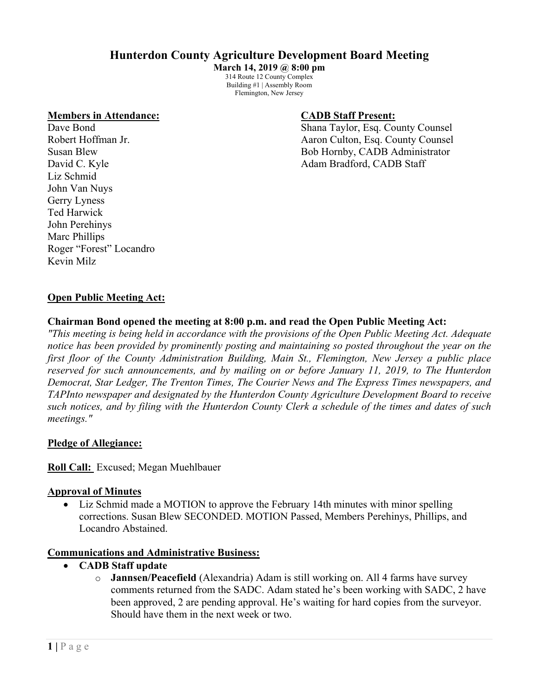# **Hunterdon County Agriculture Development Board Meeting**

**March 14, 2019 @ 8:00 pm** 314 Route 12 County Complex Building #1 | Assembly Room Flemington, New Jersey

#### **Members in Attendance: CADB Staff Present:**

Liz Schmid John Van Nuys Gerry Lyness Ted Harwick John Perehinys Marc Phillips Roger "Forest" Locandro Kevin Milz

Dave Bond Shana Taylor, Esq. County Counsel Robert Hoffman Jr. **All Accord Accord Accord Accord Accord Accord Accord Accord Accord Accord Accord Accord Accord Accord Accord Accord Accord Accord Accord Accord Accord Accord Accord Accord Accord Accord Accord Accord Ac** Susan Blew Bob Hornby, CADB Administrator David C. Kyle **Adam Bradford, CADB** Staff

# **Open Public Meeting Act:**

#### **Chairman Bond opened the meeting at 8:00 p.m. and read the Open Public Meeting Act:**

*"This meeting is being held in accordance with the provisions of the Open Public Meeting Act. Adequate notice has been provided by prominently posting and maintaining so posted throughout the year on the first floor of the County Administration Building, Main St., Flemington, New Jersey a public place reserved for such announcements, and by mailing on or before January 11, 2019, to The Hunterdon Democrat, Star Ledger, The Trenton Times, The Courier News and The Express Times newspapers, and TAPInto newspaper and designated by the Hunterdon County Agriculture Development Board to receive such notices, and by filing with the Hunterdon County Clerk a schedule of the times and dates of such meetings."*

#### **Pledge of Allegiance:**

**Roll Call:** Excused; Megan Muehlbauer

#### **Approval of Minutes**

• Liz Schmid made a MOTION to approve the February 14th minutes with minor spelling corrections. Susan Blew SECONDED. MOTION Passed, Members Perehinys, Phillips, and Locandro Abstained.

#### **Communications and Administrative Business:**

- **CADB Staff update**
	- o **Jannsen/Peacefield** (Alexandria) Adam is still working on. All 4 farms have survey comments returned from the SADC. Adam stated he's been working with SADC, 2 have been approved, 2 are pending approval. He's waiting for hard copies from the surveyor. Should have them in the next week or two.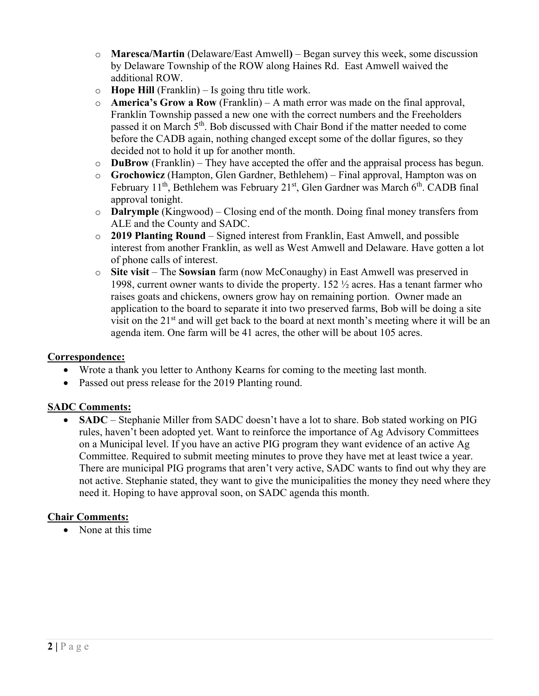- o **Maresca/Martin** (Delaware/East Amwell**)** Began survey this week, some discussion by Delaware Township of the ROW along Haines Rd. East Amwell waived the additional ROW.
- o **Hope Hill** (Franklin) Is going thru title work.
- o **America's Grow a Row** (Franklin) A math error was made on the final approval, Franklin Township passed a new one with the correct numbers and the Freeholders passed it on March 5<sup>th</sup>. Bob discussed with Chair Bond if the matter needed to come before the CADB again, nothing changed except some of the dollar figures, so they decided not to hold it up for another month.
- o **DuBrow** (Franklin) They have accepted the offer and the appraisal process has begun.
- o **Grochowicz** (Hampton, Glen Gardner, Bethlehem) Final approval, Hampton was on February  $11^{th}$ , Bethlehem was February  $21^{st}$ , Glen Gardner was March  $6^{th}$ . CADB final approval tonight.
- o **Dalrymple** (Kingwood) Closing end of the month. Doing final money transfers from ALE and the County and SADC.
- o **2019 Planting Round** Signed interest from Franklin, East Amwell, and possible interest from another Franklin, as well as West Amwell and Delaware. Have gotten a lot of phone calls of interest.
- o **Site visit**  The **Sowsian** farm (now McConaughy) in East Amwell was preserved in 1998, current owner wants to divide the property. 152 ½ acres. Has a tenant farmer who raises goats and chickens, owners grow hay on remaining portion. Owner made an application to the board to separate it into two preserved farms, Bob will be doing a site visit on the  $21<sup>st</sup>$  and will get back to the board at next month's meeting where it will be an agenda item. One farm will be 41 acres, the other will be about 105 acres.

# **Correspondence:**

- Wrote a thank you letter to Anthony Kearns for coming to the meeting last month.
- Passed out press release for the 2019 Planting round.

# **SADC Comments:**

• **SADC** – Stephanie Miller from SADC doesn't have a lot to share. Bob stated working on PIG rules, haven't been adopted yet. Want to reinforce the importance of Ag Advisory Committees on a Municipal level. If you have an active PIG program they want evidence of an active Ag Committee. Required to submit meeting minutes to prove they have met at least twice a year. There are municipal PIG programs that aren't very active, SADC wants to find out why they are not active. Stephanie stated, they want to give the municipalities the money they need where they need it. Hoping to have approval soon, on SADC agenda this month.

# **Chair Comments:**

None at this time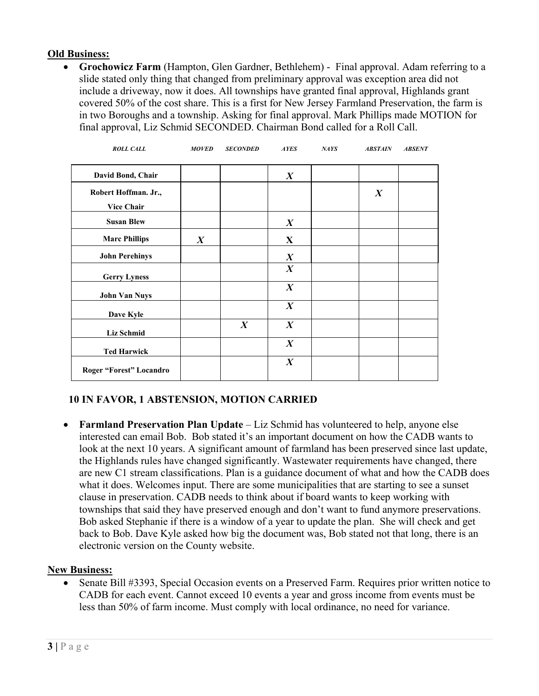# **Old Business:**

• **Grochowicz Farm** (Hampton, Glen Gardner, Bethlehem) - Final approval. Adam referring to a slide stated only thing that changed from preliminary approval was exception area did not include a driveway, now it does. All townships have granted final approval, Highlands grant covered 50% of the cost share. This is a first for New Jersey Farmland Preservation, the farm is in two Boroughs and a township. Asking for final approval. Mark Phillips made MOTION for final approval, Liz Schmid SECONDED. Chairman Bond called for a Roll Call.

| <b>ROLL CALL</b>                          | <b>MOVED</b>     | <b>SECONDED</b>  | <b>AYES</b>      | <b>NAYS</b> | <b>ABSTAIN</b>   | <b>ABSENT</b> |
|-------------------------------------------|------------------|------------------|------------------|-------------|------------------|---------------|
| David Bond, Chair                         |                  |                  | $\boldsymbol{X}$ |             |                  |               |
| Robert Hoffman. Jr.,<br><b>Vice Chair</b> |                  |                  |                  |             | $\boldsymbol{X}$ |               |
| <b>Susan Blew</b>                         |                  |                  | $\boldsymbol{X}$ |             |                  |               |
| <b>Marc Phillips</b>                      | $\boldsymbol{X}$ |                  | $\mathbf{X}$     |             |                  |               |
| <b>John Perehinys</b>                     |                  |                  | $\boldsymbol{X}$ |             |                  |               |
| <b>Gerry Lyness</b>                       |                  |                  | $\boldsymbol{X}$ |             |                  |               |
| <b>John Van Nuys</b>                      |                  |                  | $\boldsymbol{X}$ |             |                  |               |
| Dave Kyle                                 |                  |                  | $\boldsymbol{X}$ |             |                  |               |
| <b>Liz Schmid</b>                         |                  | $\boldsymbol{X}$ | $\boldsymbol{X}$ |             |                  |               |
| <b>Ted Harwick</b>                        |                  |                  | $\boldsymbol{X}$ |             |                  |               |
| Roger "Forest" Locandro                   |                  |                  | $\boldsymbol{X}$ |             |                  |               |

# **10 IN FAVOR, 1 ABSTENSION, MOTION CARRIED**

• **Farmland Preservation Plan Update** – Liz Schmid has volunteered to help, anyone else interested can email Bob. Bob stated it's an important document on how the CADB wants to look at the next 10 years. A significant amount of farmland has been preserved since last update, the Highlands rules have changed significantly. Wastewater requirements have changed, there are new C1 stream classifications. Plan is a guidance document of what and how the CADB does what it does. Welcomes input. There are some municipalities that are starting to see a sunset clause in preservation. CADB needs to think about if board wants to keep working with townships that said they have preserved enough and don't want to fund anymore preservations. Bob asked Stephanie if there is a window of a year to update the plan. She will check and get back to Bob. Dave Kyle asked how big the document was, Bob stated not that long, there is an electronic version on the County website.

# **New Business:**

• Senate Bill #3393, Special Occasion events on a Preserved Farm. Requires prior written notice to CADB for each event. Cannot exceed 10 events a year and gross income from events must be less than 50% of farm income. Must comply with local ordinance, no need for variance.